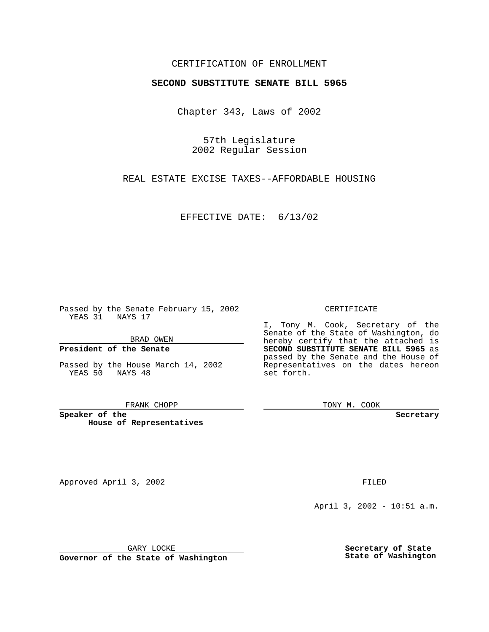## CERTIFICATION OF ENROLLMENT

# **SECOND SUBSTITUTE SENATE BILL 5965**

Chapter 343, Laws of 2002

57th Legislature 2002 Regular Session

REAL ESTATE EXCISE TAXES--AFFORDABLE HOUSING

EFFECTIVE DATE: 6/13/02

Passed by the Senate February 15, 2002 YEAS 31 NAYS 17

BRAD OWEN

### **President of the Senate**

Passed by the House March 14, 2002 YEAS 50 NAYS 48

#### FRANK CHOPP

**Speaker of the House of Representatives**

Approved April 3, 2002 **FILED** 

April 3, 2002 - 10:51 a.m.

GARY LOCKE

**Governor of the State of Washington**

**Secretary of State State of Washington**

### CERTIFICATE

I, Tony M. Cook, Secretary of the Senate of the State of Washington, do hereby certify that the attached is **SECOND SUBSTITUTE SENATE BILL 5965** as passed by the Senate and the House of Representatives on the dates hereon set forth.

TONY M. COOK

**Secretary**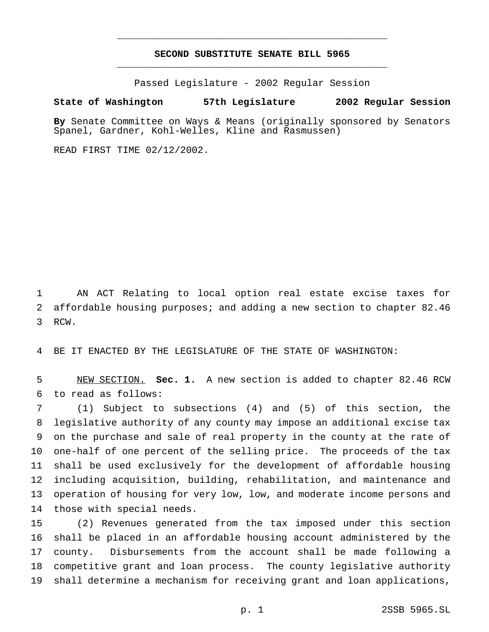# **SECOND SUBSTITUTE SENATE BILL 5965** \_\_\_\_\_\_\_\_\_\_\_\_\_\_\_\_\_\_\_\_\_\_\_\_\_\_\_\_\_\_\_\_\_\_\_\_\_\_\_\_\_\_\_\_\_\_\_

\_\_\_\_\_\_\_\_\_\_\_\_\_\_\_\_\_\_\_\_\_\_\_\_\_\_\_\_\_\_\_\_\_\_\_\_\_\_\_\_\_\_\_\_\_\_\_

Passed Legislature - 2002 Regular Session

### **State of Washington 57th Legislature 2002 Regular Session**

**By** Senate Committee on Ways & Means (originally sponsored by Senators Spanel, Gardner, Kohl-Welles, Kline and Rasmussen)

READ FIRST TIME 02/12/2002.

 AN ACT Relating to local option real estate excise taxes for affordable housing purposes; and adding a new section to chapter 82.46 RCW.

BE IT ENACTED BY THE LEGISLATURE OF THE STATE OF WASHINGTON:

 NEW SECTION. **Sec. 1.** A new section is added to chapter 82.46 RCW to read as follows:

 (1) Subject to subsections (4) and (5) of this section, the legislative authority of any county may impose an additional excise tax on the purchase and sale of real property in the county at the rate of one-half of one percent of the selling price. The proceeds of the tax shall be used exclusively for the development of affordable housing including acquisition, building, rehabilitation, and maintenance and operation of housing for very low, low, and moderate income persons and those with special needs.

 (2) Revenues generated from the tax imposed under this section shall be placed in an affordable housing account administered by the county. Disbursements from the account shall be made following a competitive grant and loan process. The county legislative authority shall determine a mechanism for receiving grant and loan applications,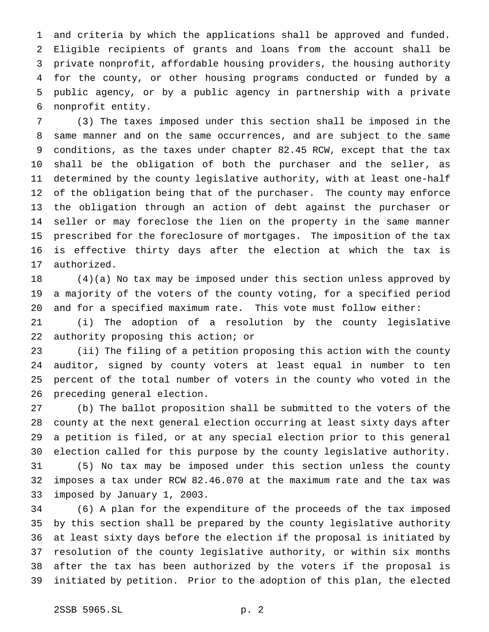and criteria by which the applications shall be approved and funded. Eligible recipients of grants and loans from the account shall be private nonprofit, affordable housing providers, the housing authority for the county, or other housing programs conducted or funded by a public agency, or by a public agency in partnership with a private nonprofit entity.

 (3) The taxes imposed under this section shall be imposed in the same manner and on the same occurrences, and are subject to the same conditions, as the taxes under chapter 82.45 RCW, except that the tax shall be the obligation of both the purchaser and the seller, as determined by the county legislative authority, with at least one-half of the obligation being that of the purchaser. The county may enforce the obligation through an action of debt against the purchaser or seller or may foreclose the lien on the property in the same manner prescribed for the foreclosure of mortgages. The imposition of the tax is effective thirty days after the election at which the tax is authorized.

 (4)(a) No tax may be imposed under this section unless approved by a majority of the voters of the county voting, for a specified period and for a specified maximum rate. This vote must follow either:

 (i) The adoption of a resolution by the county legislative authority proposing this action; or

 (ii) The filing of a petition proposing this action with the county auditor, signed by county voters at least equal in number to ten percent of the total number of voters in the county who voted in the preceding general election.

 (b) The ballot proposition shall be submitted to the voters of the county at the next general election occurring at least sixty days after a petition is filed, or at any special election prior to this general election called for this purpose by the county legislative authority. (5) No tax may be imposed under this section unless the county imposes a tax under RCW 82.46.070 at the maximum rate and the tax was imposed by January 1, 2003.

 (6) A plan for the expenditure of the proceeds of the tax imposed by this section shall be prepared by the county legislative authority at least sixty days before the election if the proposal is initiated by resolution of the county legislative authority, or within six months after the tax has been authorized by the voters if the proposal is initiated by petition. Prior to the adoption of this plan, the elected